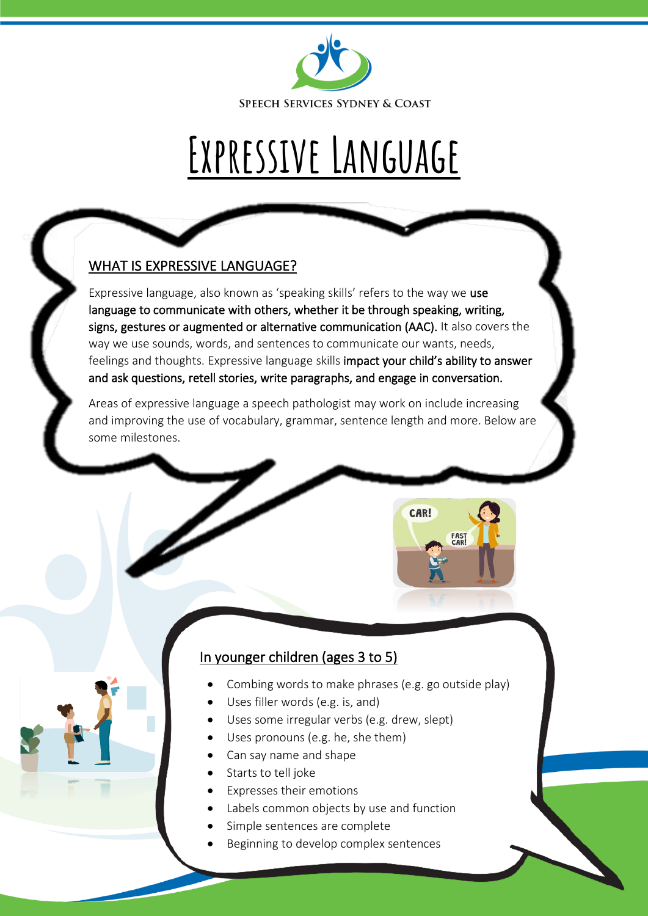

# **Expressive Language**

### WHAT IS EXPRESSIVE LANGUAGE?

Expressive language, also known as 'speaking skills' refers to the way we use language to communicate with others, whether it be through speaking, writing, signs, gestures or augmented or alternative communication (AAC). It also covers the way we use sounds, words, and sentences to communicate our wants, needs, feelings and thoughts. Expressive language skills impact your child's ability to answer and ask questions, retell stories, write paragraphs, and engage in conversation.

Areas of expressive language a speech pathologist may work on include increasing and improving the use of vocabulary, grammar, sentence length and more. Below are some milestones.

## In younger children (ages 3 to 5)

• Combing words to make phrases (e.g. go outside play)

CAR!

FAST<br>CAR!

- Uses filler words (e.g. is, and)
- Uses some irregular verbs (e.g. drew, slept)
- Uses pronouns (e.g. he, she them)
- Can say name and shape
- Starts to tell joke
- Expresses their emotions
- Labels common objects by use and function
- Simple sentences are complete
- Beginning to develop complex sentences